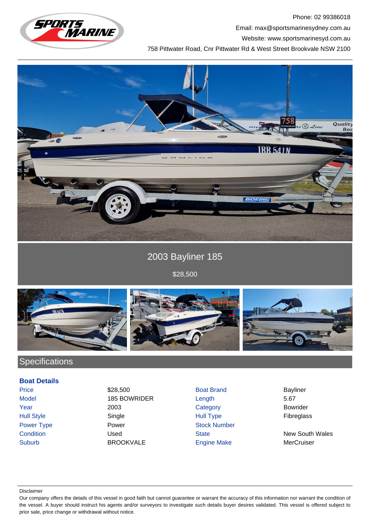

Phone: 02 99386018 Email: max@sportsmarinesydney.com.au

Website: www.sportsmarinesyd.com.au

758 Pittwater Road, Cnr Pittwater Rd & West Street Brookvale NSW 2100



2003 Bayliner 185

\$28,500



## **Specifications**

## **Boat Details**

Price \$28,500 \$28,500 Boat Brand Bayliner Model 185 BOWRIDER Length 5.67 Year 2003 Category Bowrider Hull Style Single Hull Type Fibreglass Power Type **Power Stock Number** Power **Power** Stock Number **Condition** Used Used State State New South Wales Suburb BROOKVALE Engine Make MerCruiser

## Disclaimer

Our company offers the details of this vessel in good faith but cannot guarantee or warrant the accuracy of this information nor warrant the condition of the vessel. A buyer should instruct his agents and/or surveyors to investigate such details buyer desires validated. This vessel is offered subject to prior sale, price change or withdrawal without notice.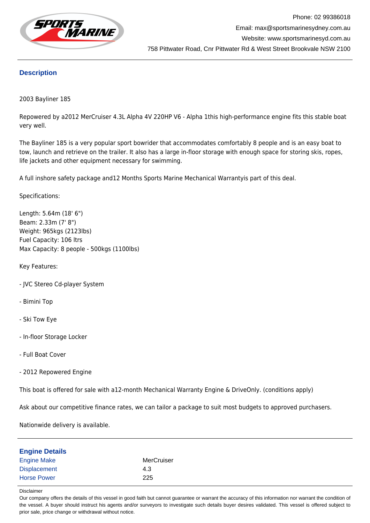

## **Description**

2003 Bayliner 185

Repowered by a2012 MerCruiser 4.3L Alpha 4V 220HP V6 - Alpha 1this high-performance engine fits this stable boat very well.

The Bayliner 185 is a very popular sport bowrider that accommodates comfortably 8 people and is an easy boat to tow, launch and retrieve on the trailer. It also has a large in-floor storage with enough space for storing skis, ropes, life jackets and other equipment necessary for swimming.

A full inshore safety package and12 Months Sports Marine Mechanical Warrantyis part of this deal.

Specifications:

Length: 5.64m (18' 6") Beam: 2.33m (7' 8") Weight: 965kgs (2123lbs) Fuel Capacity: 106 ltrs Max Capacity: 8 people - 500kgs (1100lbs)

Key Features:

- JVC Stereo Cd-player System
- Bimini Top
- Ski Tow Eye
- In-floor Storage Locker
- Full Boat Cover
- 2012 Repowered Engine

This boat is offered for sale with a12-month Mechanical Warranty Engine & DriveOnly. (conditions apply)

Ask about our competitive finance rates, we can tailor a package to suit most budgets to approved purchasers.

Nationwide delivery is available.

| MerCruiser<br>4.3<br>225 | <b>Engine Details</b> |  |
|--------------------------|-----------------------|--|
|                          | <b>Engine Make</b>    |  |
|                          | <b>Displacement</b>   |  |
|                          | <b>Horse Power</b>    |  |

Disclaimer

Our company offers the details of this vessel in good faith but cannot guarantee or warrant the accuracy of this information nor warrant the condition of the vessel. A buyer should instruct his agents and/or surveyors to investigate such details buyer desires validated. This vessel is offered subject to prior sale, price change or withdrawal without notice.